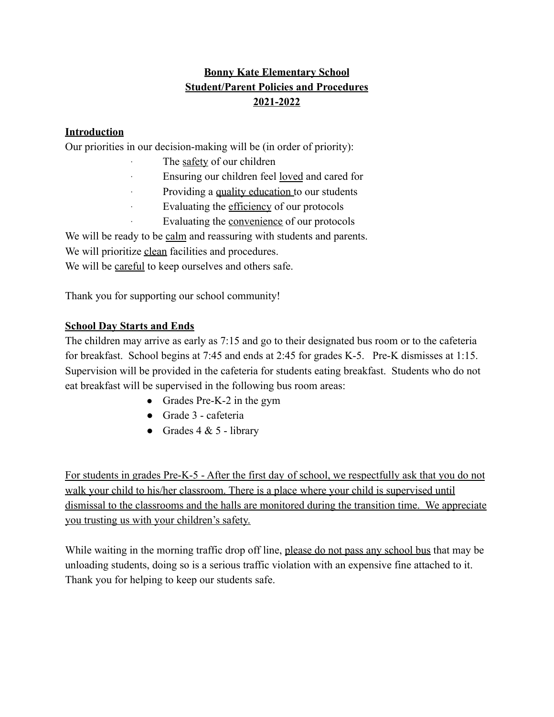# **Bonny Kate Elementary School Student/Parent Policies and Procedures 2021-2022**

## **Introduction**

Our priorities in our decision-making will be (in order of priority):

- The safety of our children
- Ensuring our children feel loved and cared for
- Providing a quality education to our students
- Evaluating the efficiency of our protocols
- Evaluating the convenience of our protocols

We will be ready to be calm and reassuring with students and parents.

We will prioritize clean facilities and procedures.

We will be careful to keep ourselves and others safe.

Thank you for supporting our school community!

## **School Day Starts and Ends**

The children may arrive as early as 7:15 and go to their designated bus room or to the cafeteria for breakfast. School begins at 7:45 and ends at 2:45 for grades K-5. Pre-K dismisses at 1:15. Supervision will be provided in the cafeteria for students eating breakfast. Students who do not eat breakfast will be supervised in the following bus room areas:

- Grades Pre-K-2 in the gym
- Grade 3 cafeteria
- Grades  $4 & 5$  library

For students in grades Pre-K-5 - After the first day of school, we respectfully ask that you do not walk your child to his/her classroom. There is a place where your child is supervised until dismissal to the classrooms and the halls are monitored during the transition time. We appreciate you trusting us with your children's safety.

While waiting in the morning traffic drop off line, please do not pass any school bus that may be unloading students, doing so is a serious traffic violation with an expensive fine attached to it. Thank you for helping to keep our students safe.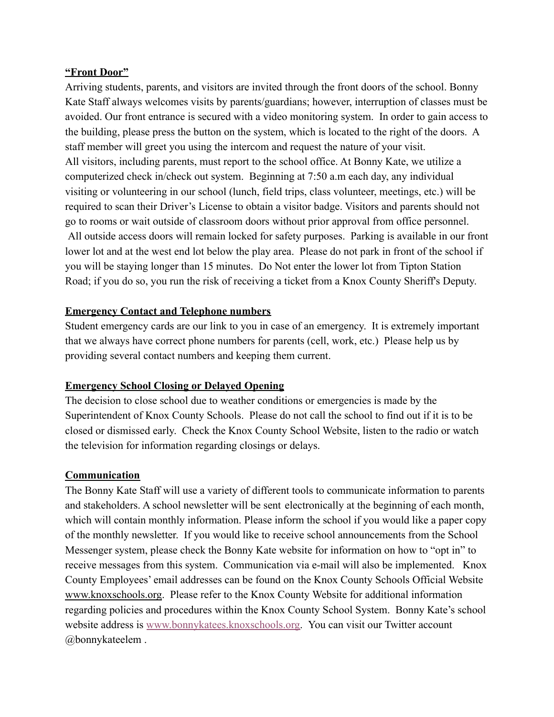### **"Front Door"**

Arriving students, parents, and visitors are invited through the front doors of the school. Bonny Kate Staff always welcomes visits by parents/guardians; however, interruption of classes must be avoided. Our front entrance is secured with a video monitoring system. In order to gain access to the building, please press the button on the system, which is located to the right of the doors. A staff member will greet you using the intercom and request the nature of your visit. All visitors, including parents, must report to the school office. At Bonny Kate, we utilize a computerized check in/check out system. Beginning at 7:50 a.m each day, any individual visiting or volunteering in our school (lunch, field trips, class volunteer, meetings, etc.) will be required to scan their Driver's License to obtain a visitor badge. Visitors and parents should not go to rooms or wait outside of classroom doors without prior approval from office personnel. All outside access doors will remain locked for safety purposes. Parking is available in our front lower lot and at the west end lot below the play area. Please do not park in front of the school if you will be staying longer than 15 minutes. Do Not enter the lower lot from Tipton Station Road; if you do so, you run the risk of receiving a ticket from a Knox County Sheriff's Deputy.

### **Emergency Contact and Telephone numbers**

Student emergency cards are our link to you in case of an emergency. It is extremely important that we always have correct phone numbers for parents (cell, work, etc.) Please help us by providing several contact numbers and keeping them current.

### **Emergency School Closing or Delayed Opening**

The decision to close school due to weather conditions or emergencies is made by the Superintendent of Knox County Schools. Please do not call the school to find out if it is to be closed or dismissed early. Check the Knox County School Website, listen to the radio or watch the television for information regarding closings or delays.

#### **Communication**

The Bonny Kate Staff will use a variety of different tools to communicate information to parents and stakeholders. A school newsletter will be sent electronically at the beginning of each month, which will contain monthly information. Please inform the school if you would like a paper copy of the monthly newsletter. If you would like to receive school announcements from the School Messenger system, please check the Bonny Kate website for information on how to "opt in" to receive messages from this system. Communication via e-mail will also be implemented. Knox County Employees' email addresses can be found on the Knox County Schools Official Website www.knoxschools.org. Please refer to the Knox County Website for additional information regarding policies and procedures within the Knox County School System. Bonny Kate's school website address is [www.bonnykatees.knoxschools.org.](http://www.bonnykatees.knoxschools.org) You can visit our Twitter account @bonnykateelem .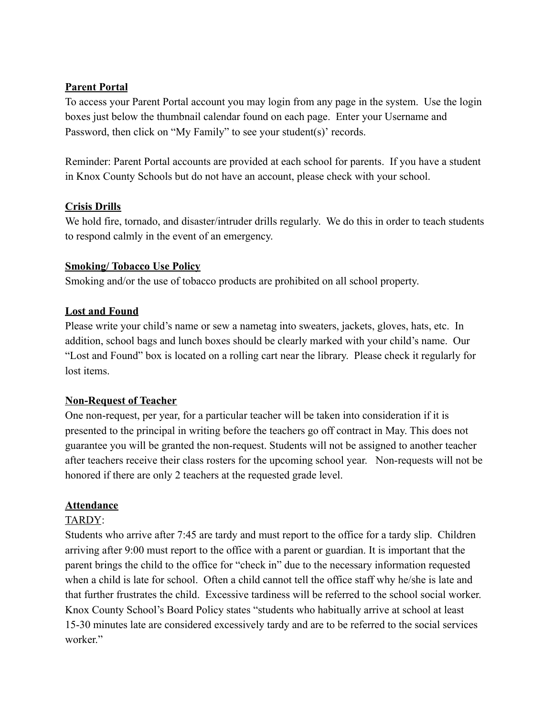## **Parent Portal**

To access your Parent Portal account you may login from any page in the system. Use the login boxes just below the thumbnail calendar found on each page. Enter your Username and Password, then click on "My Family" to see your student(s)' records.

Reminder: Parent Portal accounts are provided at each school for parents. If you have a student in Knox County Schools but do not have an account, please check with your school.

## **Crisis Drills**

We hold fire, tornado, and disaster/intruder drills regularly. We do this in order to teach students to respond calmly in the event of an emergency.

## **Smoking/ Tobacco Use Policy**

Smoking and/or the use of tobacco products are prohibited on all school property.

## **Lost and Found**

Please write your child's name or sew a nametag into sweaters, jackets, gloves, hats, etc. In addition, school bags and lunch boxes should be clearly marked with your child's name. Our "Lost and Found" box is located on a rolling cart near the library. Please check it regularly for lost items.

## **Non-Request of Teacher**

One non-request, per year, for a particular teacher will be taken into consideration if it is presented to the principal in writing before the teachers go off contract in May. This does not guarantee you will be granted the non-request. Students will not be assigned to another teacher after teachers receive their class rosters for the upcoming school year. Non-requests will not be honored if there are only 2 teachers at the requested grade level.

## **Attendance**

### TARDY:

Students who arrive after 7:45 are tardy and must report to the office for a tardy slip. Children arriving after 9:00 must report to the office with a parent or guardian. It is important that the parent brings the child to the office for "check in" due to the necessary information requested when a child is late for school. Often a child cannot tell the office staff why he/she is late and that further frustrates the child. Excessive tardiness will be referred to the school social worker. Knox County School's Board Policy states "students who habitually arrive at school at least 15-30 minutes late are considered excessively tardy and are to be referred to the social services worker"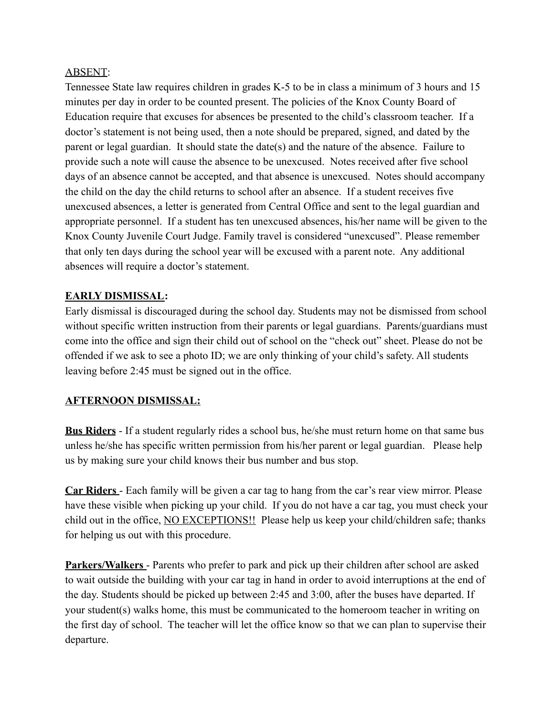### ABSENT:

Tennessee State law requires children in grades K-5 to be in class a minimum of 3 hours and 15 minutes per day in order to be counted present. The policies of the Knox County Board of Education require that excuses for absences be presented to the child's classroom teacher. If a doctor's statement is not being used, then a note should be prepared, signed, and dated by the parent or legal guardian. It should state the date(s) and the nature of the absence. Failure to provide such a note will cause the absence to be unexcused. Notes received after five school days of an absence cannot be accepted, and that absence is unexcused. Notes should accompany the child on the day the child returns to school after an absence. If a student receives five unexcused absences, a letter is generated from Central Office and sent to the legal guardian and appropriate personnel. If a student has ten unexcused absences, his/her name will be given to the Knox County Juvenile Court Judge. Family travel is considered "unexcused". Please remember that only ten days during the school year will be excused with a parent note. Any additional absences will require a doctor's statement.

### **EARLY DISMISSAL:**

Early dismissal is discouraged during the school day. Students may not be dismissed from school without specific written instruction from their parents or legal guardians. Parents/guardians must come into the office and sign their child out of school on the "check out" sheet. Please do not be offended if we ask to see a photo ID; we are only thinking of your child's safety. All students leaving before 2:45 must be signed out in the office.

### **AFTERNOON DISMISSAL:**

**Bus Riders** - If a student regularly rides a school bus, he/she must return home on that same bus unless he/she has specific written permission from his/her parent or legal guardian. Please help us by making sure your child knows their bus number and bus stop.

**Car Riders** - Each family will be given a car tag to hang from the car's rear view mirror. Please have these visible when picking up your child. If you do not have a car tag, you must check your child out in the office, NO EXCEPTIONS!! Please help us keep your child/children safe; thanks for helping us out with this procedure.

**Parkers/Walkers** - Parents who prefer to park and pick up their children after school are asked to wait outside the building with your car tag in hand in order to avoid interruptions at the end of the day. Students should be picked up between 2:45 and 3:00, after the buses have departed. If your student(s) walks home, this must be communicated to the homeroom teacher in writing on the first day of school. The teacher will let the office know so that we can plan to supervise their departure.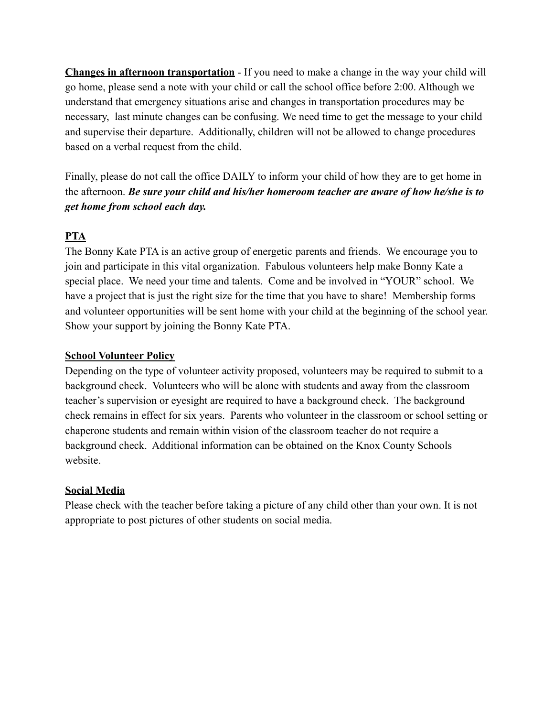**Changes in afternoon transportation** - If you need to make a change in the way your child will go home, please send a note with your child or call the school office before 2:00. Although we understand that emergency situations arise and changes in transportation procedures may be necessary, last minute changes can be confusing. We need time to get the message to your child and supervise their departure. Additionally, children will not be allowed to change procedures based on a verbal request from the child.

Finally, please do not call the office DAILY to inform your child of how they are to get home in the afternoon. *Be sure your child and his/her homeroom teacher are aware of how he/she is to get home from school each day.*

## **PTA**

The Bonny Kate PTA is an active group of energetic parents and friends. We encourage you to join and participate in this vital organization. Fabulous volunteers help make Bonny Kate a special place. We need your time and talents. Come and be involved in "YOUR" school. We have a project that is just the right size for the time that you have to share! Membership forms and volunteer opportunities will be sent home with your child at the beginning of the school year. Show your support by joining the Bonny Kate PTA.

## **School Volunteer Policy**

Depending on the type of volunteer activity proposed, volunteers may be required to submit to a background check. Volunteers who will be alone with students and away from the classroom teacher's supervision or eyesight are required to have a background check. The background check remains in effect for six years. Parents who volunteer in the classroom or school setting or chaperone students and remain within vision of the classroom teacher do not require a background check. Additional information can be obtained on the Knox County Schools website.

## **Social Media**

Please check with the teacher before taking a picture of any child other than your own. It is not appropriate to post pictures of other students on social media.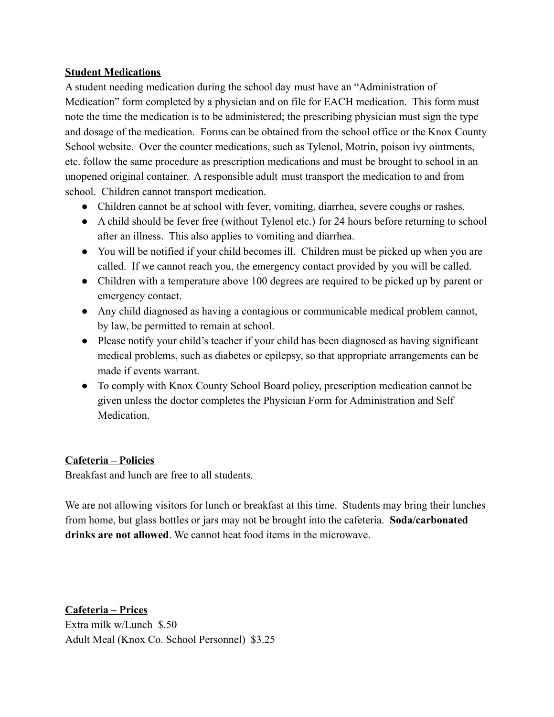## **Student Medications**

A student needing medication during the school day must have an "Administration of Medication" form completed by a physician and on file for EACH medication. This form must note the time the medication is to be administered; the prescribing physician must sign the type and dosage of the medication. Forms can be obtained from the school office or the Knox County School website. Over the counter medications, such as Tylenol, Motrin, poison ivy ointments, etc. follow the same procedure as prescription medications and must be brought to school in an unopened original container. A responsible adult must transport the medication to and from school. Children cannot transport medication.

- Children cannot be at school with fever, vomiting, diarrhea, severe coughs or rashes.
- A child should be fever free (without Tylenol etc.) for 24 hours before returning to school after an illness. This also applies to vomiting and diarrhea.
- You will be notified if your child becomes ill. Children must be picked up when you are called. If we cannot reach you, the emergency contact provided by you will be called.
- Children with a temperature above 100 degrees are required to be picked up by parent or emergency contact.
- Any child diagnosed as having a contagious or communicable medical problem cannot, by law, be permitted to remain at school.
- Please notify your child's teacher if your child has been diagnosed as having significant medical problems, such as diabetes or epilepsy, so that appropriate arrangements can be made if events warrant.
- To comply with Knox County School Board policy, prescription medication cannot be given unless the doctor completes the Physician Form for Administration and Self **Medication**

# **Cafeteria – Policies**

Breakfast and lunch are free to all students.

We are not allowing visitors for lunch or breakfast at this time. Students may bring their lunches from home, but glass bottles or jars may not be brought into the cafeteria. **Soda/carbonated drinks are not allowed**. We cannot heat food items in the microwave.

**Cafeteria – Prices** Extra milk w/Lunch \$.50 Adult Meal (Knox Co. School Personnel) \$3.25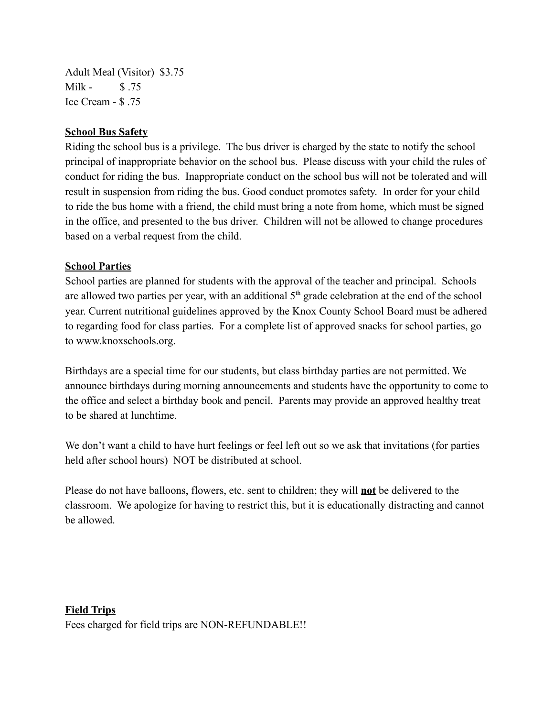Adult Meal (Visitor) \$3.75 Milk - \$ 75 Ice Cream - \$ .75

#### **School Bus Safety**

Riding the school bus is a privilege. The bus driver is charged by the state to notify the school principal of inappropriate behavior on the school bus. Please discuss with your child the rules of conduct for riding the bus. Inappropriate conduct on the school bus will not be tolerated and will result in suspension from riding the bus. Good conduct promotes safety. In order for your child to ride the bus home with a friend, the child must bring a note from home, which must be signed in the office, and presented to the bus driver. Children will not be allowed to change procedures based on a verbal request from the child.

#### **School Parties**

School parties are planned for students with the approval of the teacher and principal. Schools are allowed two parties per year, with an additional  $5<sup>th</sup>$  grade celebration at the end of the school year. Current nutritional guidelines approved by the Knox County School Board must be adhered to regarding food for class parties. For a complete list of approved snacks for school parties, go to www.knoxschools.org.

Birthdays are a special time for our students, but class birthday parties are not permitted. We announce birthdays during morning announcements and students have the opportunity to come to the office and select a birthday book and pencil. Parents may provide an approved healthy treat to be shared at lunchtime.

We don't want a child to have hurt feelings or feel left out so we ask that invitations (for parties held after school hours) NOT be distributed at school.

Please do not have balloons, flowers, etc. sent to children; they will **not** be delivered to the classroom. We apologize for having to restrict this, but it is educationally distracting and cannot be allowed.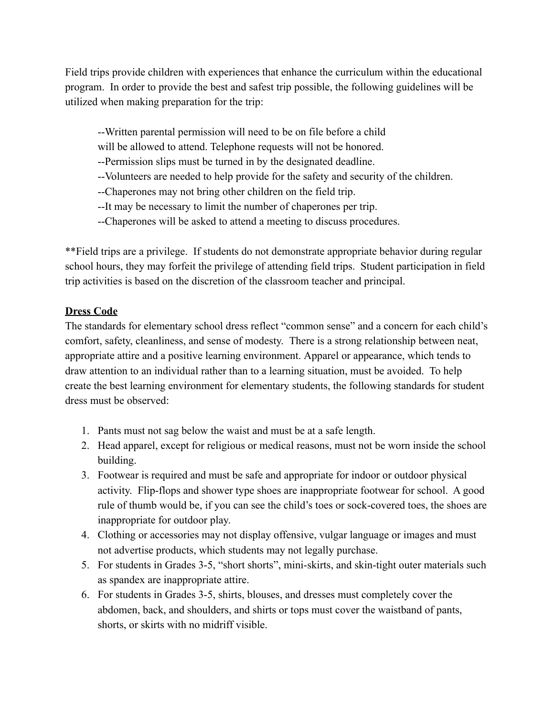Field trips provide children with experiences that enhance the curriculum within the educational program. In order to provide the best and safest trip possible, the following guidelines will be utilized when making preparation for the trip:

--Written parental permission will need to be on file before a child

will be allowed to attend. Telephone requests will not be honored.

--Permission slips must be turned in by the designated deadline.

--Volunteers are needed to help provide for the safety and security of the children.

--Chaperones may not bring other children on the field trip.

--It may be necessary to limit the number of chaperones per trip.

--Chaperones will be asked to attend a meeting to discuss procedures.

\*\*Field trips are a privilege. If students do not demonstrate appropriate behavior during regular school hours, they may forfeit the privilege of attending field trips. Student participation in field trip activities is based on the discretion of the classroom teacher and principal.

## **Dress Code**

The standards for elementary school dress reflect "common sense" and a concern for each child's comfort, safety, cleanliness, and sense of modesty. There is a strong relationship between neat, appropriate attire and a positive learning environment. Apparel or appearance, which tends to draw attention to an individual rather than to a learning situation, must be avoided. To help create the best learning environment for elementary students, the following standards for student dress must be observed:

- 1. Pants must not sag below the waist and must be at a safe length.
- 2. Head apparel, except for religious or medical reasons, must not be worn inside the school building.
- 3. Footwear is required and must be safe and appropriate for indoor or outdoor physical activity. Flip-flops and shower type shoes are inappropriate footwear for school. A good rule of thumb would be, if you can see the child's toes or sock-covered toes, the shoes are inappropriate for outdoor play.
- 4. Clothing or accessories may not display offensive, vulgar language or images and must not advertise products, which students may not legally purchase.
- 5. For students in Grades 3-5, "short shorts", mini-skirts, and skin-tight outer materials such as spandex are inappropriate attire.
- 6. For students in Grades 3-5, shirts, blouses, and dresses must completely cover the abdomen, back, and shoulders, and shirts or tops must cover the waistband of pants, shorts, or skirts with no midriff visible.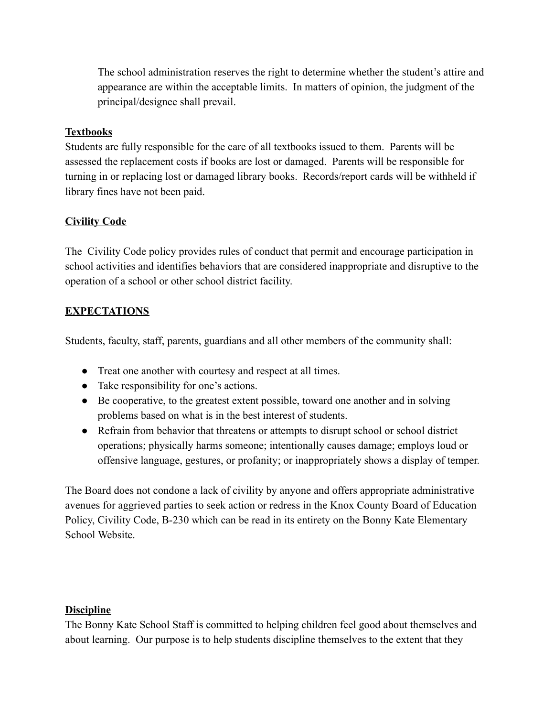The school administration reserves the right to determine whether the student's attire and appearance are within the acceptable limits. In matters of opinion, the judgment of the principal/designee shall prevail.

## **Textbooks**

Students are fully responsible for the care of all textbooks issued to them. Parents will be assessed the replacement costs if books are lost or damaged. Parents will be responsible for turning in or replacing lost or damaged library books. Records/report cards will be withheld if library fines have not been paid.

## **Civility Code**

The Civility Code policy provides rules of conduct that permit and encourage participation in school activities and identifies behaviors that are considered inappropriate and disruptive to the operation of a school or other school district facility.

## **EXPECTATIONS**

Students, faculty, staff, parents, guardians and all other members of the community shall:

- Treat one another with courtesy and respect at all times.
- Take responsibility for one's actions.
- Be cooperative, to the greatest extent possible, toward one another and in solving problems based on what is in the best interest of students.
- Refrain from behavior that threatens or attempts to disrupt school or school district operations; physically harms someone; intentionally causes damage; employs loud or offensive language, gestures, or profanity; or inappropriately shows a display of temper.

The Board does not condone a lack of civility by anyone and offers appropriate administrative avenues for aggrieved parties to seek action or redress in the Knox County Board of Education Policy, Civility Code, B-230 which can be read in its entirety on the Bonny Kate Elementary School Website.

## **Discipline**

The Bonny Kate School Staff is committed to helping children feel good about themselves and about learning. Our purpose is to help students discipline themselves to the extent that they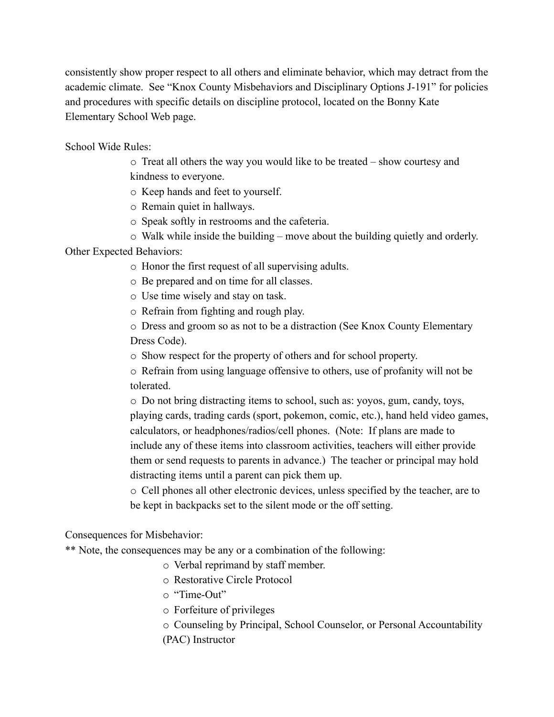consistently show proper respect to all others and eliminate behavior, which may detract from the academic climate. See "Knox County Misbehaviors and Disciplinary Options J-191" for policies and procedures with specific details on discipline protocol, located on the Bonny Kate Elementary School Web page.

School Wide Rules:

o Treat all others the way you would like to be treated – show courtesy and kindness to everyone.

o Keep hands and feet to yourself.

o Remain quiet in hallways.

o Speak softly in restrooms and the cafeteria.

 $\circ$  Walk while inside the building – move about the building quietly and orderly.

Other Expected Behaviors:

o Honor the first request of all supervising adults.

o Be prepared and on time for all classes.

o Use time wisely and stay on task.

o Refrain from fighting and rough play.

o Dress and groom so as not to be a distraction (See Knox County Elementary Dress Code).

o Show respect for the property of others and for school property.

o Refrain from using language offensive to others, use of profanity will not be tolerated.

o Do not bring distracting items to school, such as: yoyos, gum, candy, toys, playing cards, trading cards (sport, pokemon, comic, etc.), hand held video games, calculators, or headphones/radios/cell phones. (Note: If plans are made to include any of these items into classroom activities, teachers will either provide them or send requests to parents in advance.) The teacher or principal may hold distracting items until a parent can pick them up.

o Cell phones all other electronic devices, unless specified by the teacher, are to be kept in backpacks set to the silent mode or the off setting.

Consequences for Misbehavior:

\*\* Note, the consequences may be any or a combination of the following:

o Verbal reprimand by staff member.

o Restorative Circle Protocol

o "Time-Out"

o Forfeiture of privileges

o Counseling by Principal, School Counselor, or Personal Accountability (PAC) Instructor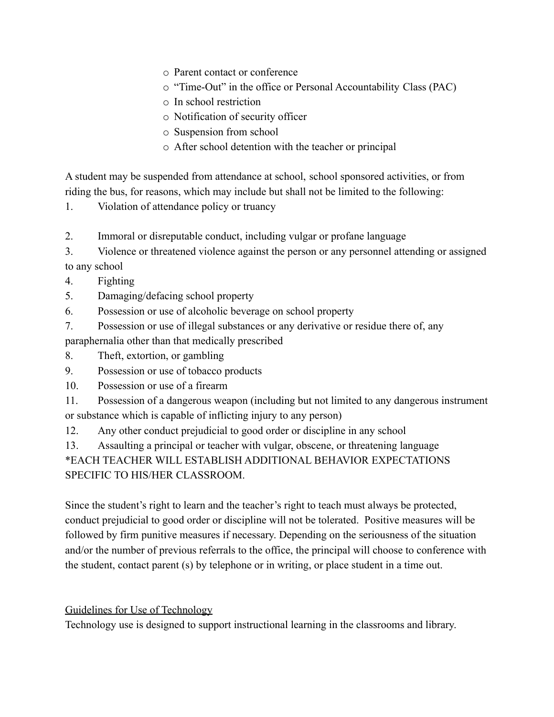- o Parent contact or conference
- o "Time-Out" in the office or Personal Accountability Class (PAC)
- o In school restriction
- o Notification of security officer
- o Suspension from school
- o After school detention with the teacher or principal

A student may be suspended from attendance at school, school sponsored activities, or from riding the bus, for reasons, which may include but shall not be limited to the following:

1. Violation of attendance policy or truancy

2. Immoral or disreputable conduct, including vulgar or profane language

3. Violence or threatened violence against the person or any personnel attending or assigned to any school

- 4. Fighting
- 5. Damaging/defacing school property
- 6. Possession or use of alcoholic beverage on school property
- 7. Possession or use of illegal substances or any derivative or residue there of, any

paraphernalia other than that medically prescribed

8. Theft, extortion, or gambling

- 9. Possession or use of tobacco products
- 10. Possession or use of a firearm
- 11. Possession of a dangerous weapon (including but not limited to any dangerous instrument or substance which is capable of inflicting injury to any person)
- 12. Any other conduct prejudicial to good order or discipline in any school

13. Assaulting a principal or teacher with vulgar, obscene, or threatening language

\*EACH TEACHER WILL ESTABLISH ADDITIONAL BEHAVIOR EXPECTATIONS SPECIFIC TO HIS/HER CLASSROOM.

Since the student's right to learn and the teacher's right to teach must always be protected, conduct prejudicial to good order or discipline will not be tolerated. Positive measures will be followed by firm punitive measures if necessary. Depending on the seriousness of the situation and/or the number of previous referrals to the office, the principal will choose to conference with the student, contact parent (s) by telephone or in writing, or place student in a time out.

# Guidelines for Use of Technology

Technology use is designed to support instructional learning in the classrooms and library.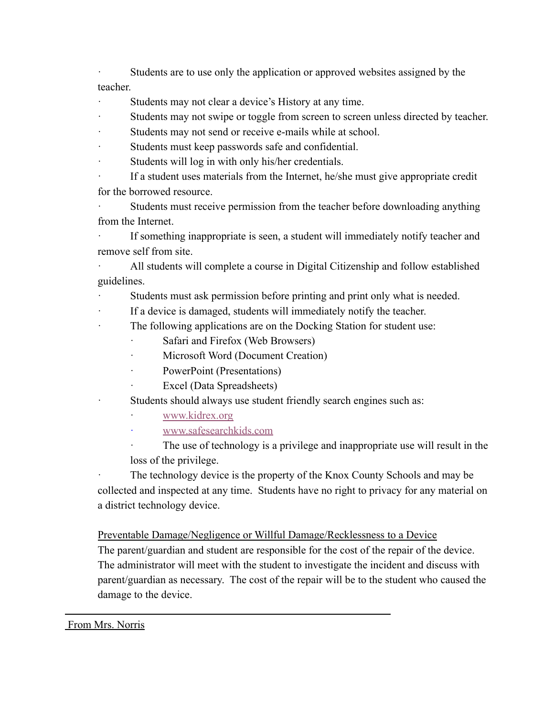Students are to use only the application or approved websites assigned by the teacher.

Students may not clear a device's History at any time.

Students may not swipe or toggle from screen to screen unless directed by teacher.

- Students may not send or receive e-mails while at school.
- Students must keep passwords safe and confidential.
- Students will log in with only his/her credentials.

If a student uses materials from the Internet, he/she must give appropriate credit for the borrowed resource.

Students must receive permission from the teacher before downloading anything from the Internet.

· If something inappropriate is seen, a student will immediately notify teacher and remove self from site.

All students will complete a course in Digital Citizenship and follow established guidelines.

Students must ask permission before printing and print only what is needed.

- If a device is damaged, students will immediately notify the teacher.
- The following applications are on the Docking Station for student use:
	- Safari and Firefox (Web Browsers)
	- Microsoft Word (Document Creation)
	- PowerPoint (Presentations)
	- Excel (Data Spreadsheets)
	- Students should always use student friendly search engines such as:
		- [www.kidrex.org](http://www.kidrex.org)
		- · [www.safesearchkids.com](http://www.safesearchkids.com)

The use of technology is a privilege and inappropriate use will result in the loss of the privilege.

The technology device is the property of the Knox County Schools and may be collected and inspected at any time. Students have no right to privacy for any material on a district technology device.

Preventable Damage/Negligence or Willful Damage/Recklessness to a Device

The parent/guardian and student are responsible for the cost of the repair of the device. The administrator will meet with the student to investigate the incident and discuss with parent/guardian as necessary. The cost of the repair will be to the student who caused the damage to the device.

### From Mrs. Norris